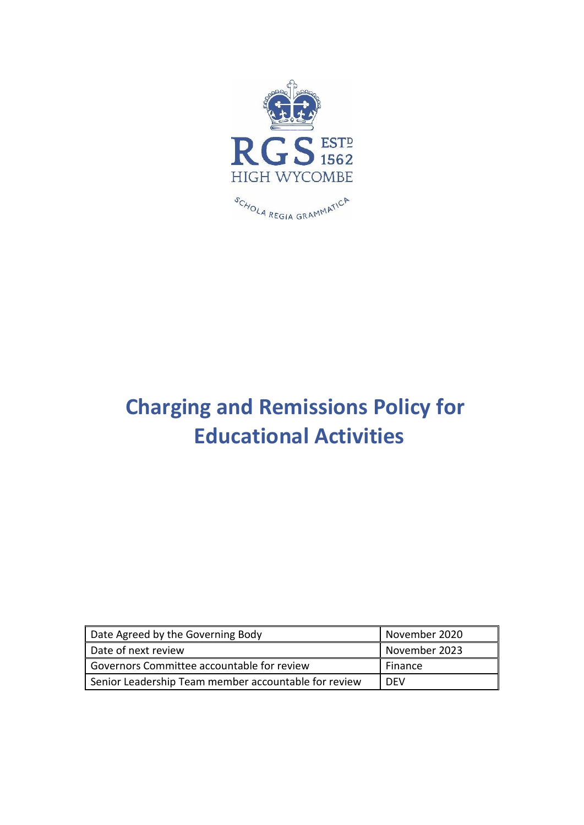

# **Charging and Remissions Policy for Educational Activities**

| Date Agreed by the Governing Body                    | November 2020 |
|------------------------------------------------------|---------------|
| Date of next review                                  | November 2023 |
| Governors Committee accountable for review           | Finance       |
| Senior Leadership Team member accountable for review | <b>DEV</b>    |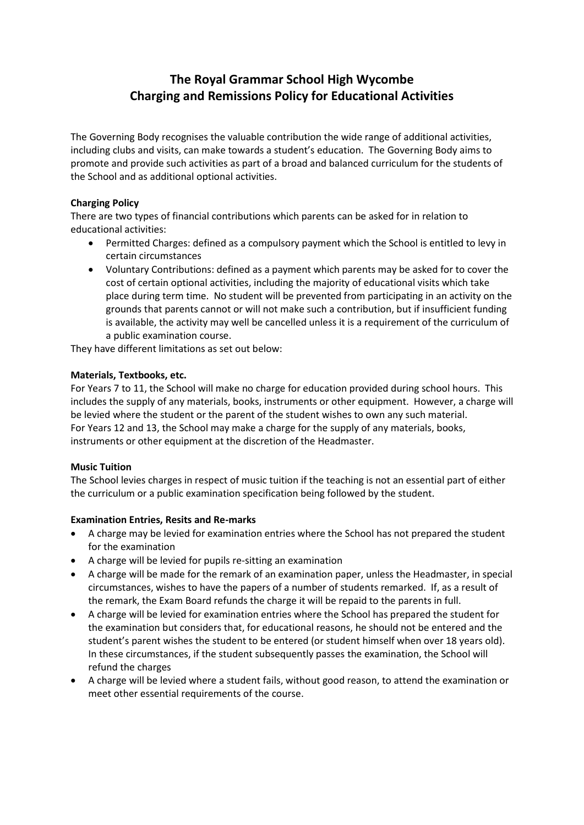# **The Royal Grammar School High Wycombe Charging and Remissions Policy for Educational Activities**

The Governing Body recognises the valuable contribution the wide range of additional activities, including clubs and visits, can make towards a student's education. The Governing Body aims to promote and provide such activities as part of a broad and balanced curriculum for the students of the School and as additional optional activities.

# **Charging Policy**

There are two types of financial contributions which parents can be asked for in relation to educational activities:

- Permitted Charges: defined as a compulsory payment which the School is entitled to levy in certain circumstances
- Voluntary Contributions: defined as a payment which parents may be asked for to cover the cost of certain optional activities, including the majority of educational visits which take place during term time. No student will be prevented from participating in an activity on the grounds that parents cannot or will not make such a contribution, but if insufficient funding is available, the activity may well be cancelled unless it is a requirement of the curriculum of a public examination course.

They have different limitations as set out below:

# **Materials, Textbooks, etc.**

For Years 7 to 11, the School will make no charge for education provided during school hours. This includes the supply of any materials, books, instruments or other equipment. However, a charge will be levied where the student or the parent of the student wishes to own any such material. For Years 12 and 13, the School may make a charge for the supply of any materials, books, instruments or other equipment at the discretion of the Headmaster.

# **Music Tuition**

The School levies charges in respect of music tuition if the teaching is not an essential part of either the curriculum or a public examination specification being followed by the student.

# **Examination Entries, Resits and Re-marks**

- A charge may be levied for examination entries where the School has not prepared the student for the examination
- A charge will be levied for pupils re-sitting an examination
- A charge will be made for the remark of an examination paper, unless the Headmaster, in special circumstances, wishes to have the papers of a number of students remarked. If, as a result of the remark, the Exam Board refunds the charge it will be repaid to the parents in full.
- A charge will be levied for examination entries where the School has prepared the student for the examination but considers that, for educational reasons, he should not be entered and the student's parent wishes the student to be entered (or student himself when over 18 years old). In these circumstances, if the student subsequently passes the examination, the School will refund the charges
- A charge will be levied where a student fails, without good reason, to attend the examination or meet other essential requirements of the course.